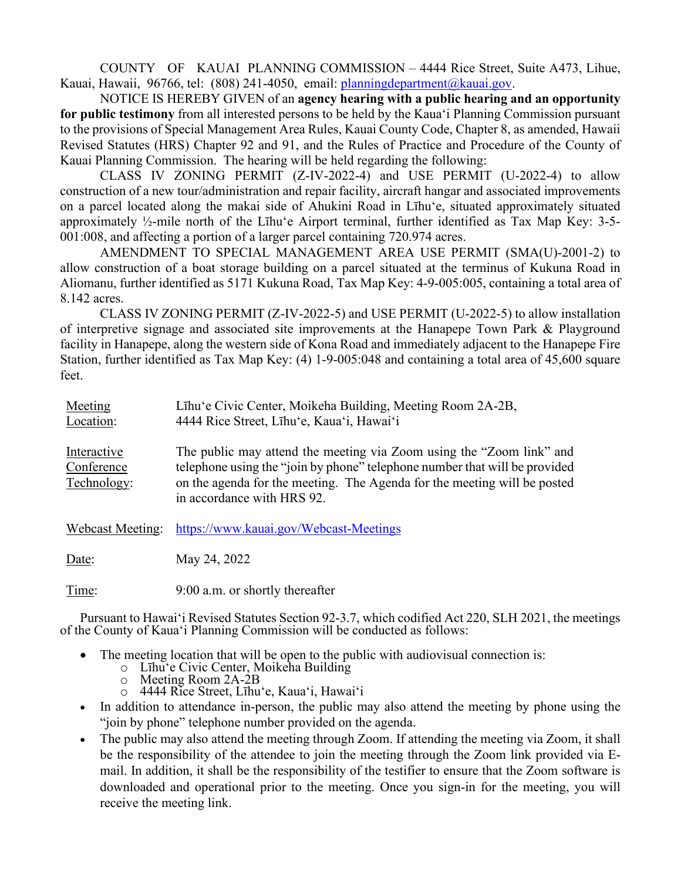COUNTY OF KAUAI PLANNING COMMISSION – 4444 Rice Street, Suite A473, Lihue, Kauai, Hawaii, 96766, tel: (808) 241-4050, email: [planningdepartment@kauai.gov.](mailto:planningdepartment@kauai.gov)

NOTICE IS HEREBY GIVEN of an **agency hearing with a public hearing and an opportunity for public testimony** from all interested persons to be held by the Kaua'i Planning Commission pursuant to the provisions of Special Management Area Rules, Kauai County Code, Chapter 8, as amended, Hawaii Revised Statutes (HRS) Chapter 92 and 91, and the Rules of Practice and Procedure of the County of Kauai Planning Commission. The hearing will be held regarding the following:

CLASS IV ZONING PERMIT (Z-IV-2022-4) and USE PERMIT (U-2022-4) to allow construction of a new tour/administration and repair facility, aircraft hangar and associated improvements on a parcel located along the makai side of Ahukini Road in Līhu'e, situated approximately situated approximately ½-mile north of the Līhu'e Airport terminal, further identified as Tax Map Key: 3-5- 001:008, and affecting a portion of a larger parcel containing 720.974 acres.

AMENDMENT TO SPECIAL MANAGEMENT AREA USE PERMIT (SMA(U)-2001-2) to allow construction of a boat storage building on a parcel situated at the terminus of Kukuna Road in Aliomanu, further identified as 5171 Kukuna Road, Tax Map Key: 4-9-005:005, containing a total area of 8.142 acres.

CLASS IV ZONING PERMIT (Z-IV-2022-5) and USE PERMIT (U-2022-5) to allow installation of interpretive signage and associated site improvements at the Hanapepe Town Park & Playground facility in Hanapepe, along the western side of Kona Road and immediately adjacent to the Hanapepe Fire Station, further identified as Tax Map Key: (4) 1-9-005:048 and containing a total area of 45,600 square feet.

| Meeting<br>Location:                     | Lihu'e Civic Center, Moikeha Building, Meeting Room 2A-2B,<br>4444 Rice Street, Lihu'e, Kaua'i, Hawai'i                                                                                                                                                      |
|------------------------------------------|--------------------------------------------------------------------------------------------------------------------------------------------------------------------------------------------------------------------------------------------------------------|
| Interactive<br>Conference<br>Technology: | The public may attend the meeting via Zoom using the "Zoom link" and<br>telephone using the "join by phone" telephone number that will be provided<br>on the agenda for the meeting. The Agenda for the meeting will be posted<br>in accordance with HRS 92. |
| Webcast Meeting:                         | https://www.kauai.gov/Webcast-Meetings                                                                                                                                                                                                                       |
| Date:                                    | May 24, 2022                                                                                                                                                                                                                                                 |
| Time:                                    | 9:00 a.m. or shortly thereafter                                                                                                                                                                                                                              |

Pursuant to Hawai'i Revised Statutes Section 92-3.7, which codified Act 220, SLH 2021, the meetings of the County of Kaua'i Planning Commission will be conducted as follows:

- The meeting location that will be open to the public with audiovisual connection is:
	- o Līhu'e Civic Center, Moikeha Building<br>
	o Meeting Room 2A-2B
	- Meeting Room 2A-2B
	- o 4444 Rice Street, Līhu'e, Kaua'i, Hawai'i
- In addition to attendance in-person, the public may also attend the meeting by phone using the "join by phone" telephone number provided on the agenda.
- The public may also attend the meeting through Zoom. If attending the meeting via Zoom, it shall be the responsibility of the attendee to join the meeting through the Zoom link provided via Email. In addition, it shall be the responsibility of the testifier to ensure that the Zoom software is downloaded and operational prior to the meeting. Once you sign-in for the meeting, you will receive the meeting link.